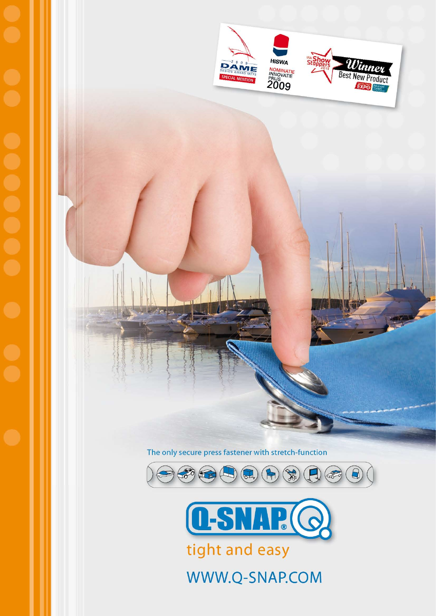

The only secure press fastener with stretch-function





WWW.Q-SNAP.COM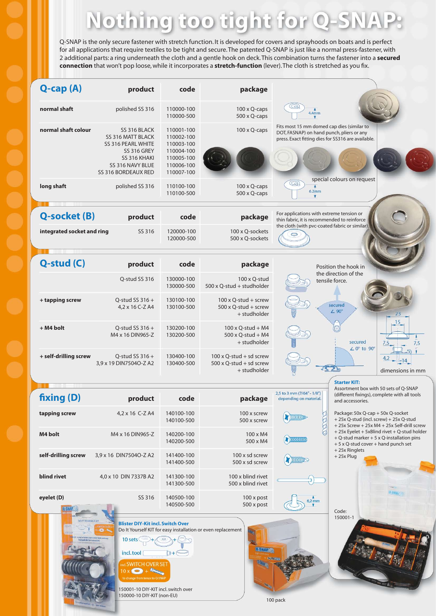# **Nothing too tight for Q-SI**

Q-SNAP is the only secure fastener with stretch function. It is developed for covers and sprayhoods on boats and is perfect for all applications that require textiles to be tight and secure. The patented Q-SNAP is just like a normal press-fastener, with 2 additional parts: a ring underneath the cloth and a gentle hook on deck. This combination turns the fastener into a **secured connection** that won't pop loose, while it incorporates a **stretch-function** (lever). The cloth is stretched as you fix.



**eyelet (D)** SS 316 140500-100 100 x post

**Blister DIY-Kit incl. Switch Over** Do It Yourself KIT for easy installation or even replacement 10 sets incl.tool  $T +$ 

140500-500 500 x post

**VITCH OVER SE** 

150001-10 DIY-KIT incl. switch over 150000-10 DIY-KIT (non-EU)

Code: 150001-1 0 2KV6(G)

100 pack